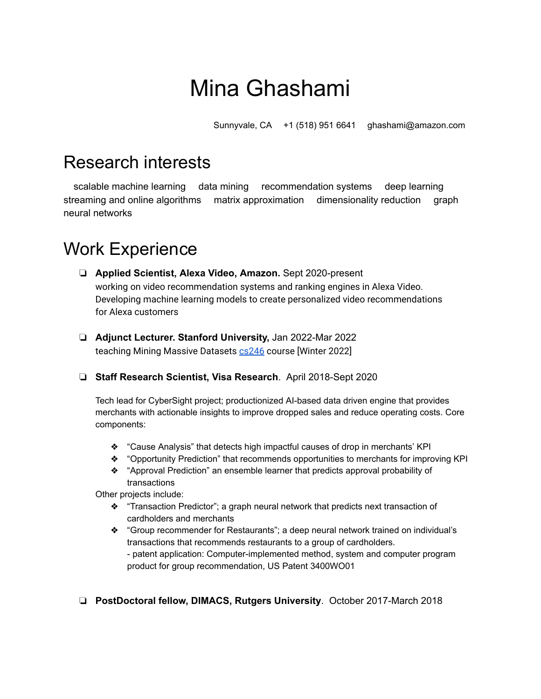# Mina Ghashami

Sunnyvale, CA +1 (518) 951 6641 ghashami@amazon.com

### Research interests

scalable machine learning data mining recommendation systems deep learning streaming and online algorithms matrix approximation dimensionality reduction graph neural networks

## Work Experience

- ❏ **Applied Scientist, Alexa Video, Amazon.** Sept 2020-present working on video recommendation systems and ranking engines in Alexa Video. Developing machine learning models to create personalized video recommendations for Alexa customers
- ❏ **Adjunct Lecturer. Stanford University,** Jan 2022-Mar 2022 teaching Mining Massive Datasets [cs246](http://web.stanford.edu/class/cs246/) course [Winter 2022]
- ❏ **Staff Research Scientist, Visa Research**. April 2018-Sept 2020

Tech lead for CyberSight project; productionized AI-based data driven engine that provides merchants with actionable insights to improve dropped sales and reduce operating costs. Core components:

- ❖ "Cause Analysis" that detects high impactful causes of drop in merchants' KPI
- ❖ "Opportunity Prediction" that recommends opportunities to merchants for improving KPI
- ❖ "Approval Prediction" an ensemble learner that predicts approval probability of transactions

Other projects include:

- ❖ "Transaction Predictor"; a graph neural network that predicts next transaction of cardholders and merchants
- ❖ "Group recommender for Restaurants"; a deep neural network trained on individual's transactions that recommends restaurants to a group of cardholders. - patent application: Computer-implemented method, system and computer program product for group recommendation, US Patent 3400WO01
- ❏ **PostDoctoral fellow, DIMACS, Rutgers University**. October 2017-March 2018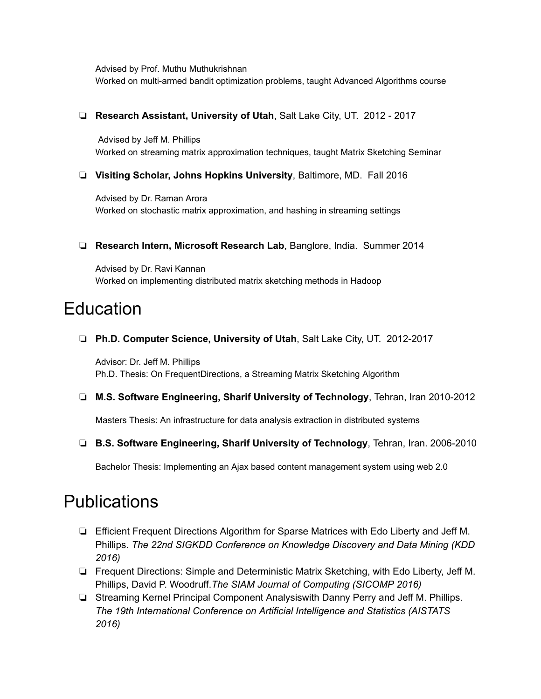Advised by Prof. Muthu Muthukrishnan Worked on multi-armed bandit optimization problems, taught Advanced Algorithms course

#### ❏ **Research Assistant, University of Utah**, Salt Lake City, UT. 2012 - 2017

Advised by Jeff M. Phillips Worked on streaming matrix approximation techniques, taught Matrix Sketching Seminar

❏ **Visiting Scholar, Johns Hopkins University**, Baltimore, MD. Fall 2016

Advised by Dr. Raman Arora Worked on stochastic matrix approximation, and hashing in streaming settings

❏ **Research Intern, Microsoft Research Lab**, Banglore, India. Summer 2014

Advised by Dr. Ravi Kannan Worked on implementing distributed matrix sketching methods in Hadoop

#### **Education**

❏ **Ph.D. Computer Science, University of Utah**, Salt Lake City, UT. 2012-2017

Advisor: Dr. Jeff M. Phillips Ph.D. Thesis: On FrequentDirections, a Streaming Matrix Sketching Algorithm

❏ **M.S. Software Engineering, Sharif University of Technology**, Tehran, Iran 2010-2012

Masters Thesis: An infrastructure for data analysis extraction in distributed systems

❏ **B.S. Software Engineering, Sharif University of Technology**, Tehran, Iran. 2006-2010

Bachelor Thesis: Implementing an Ajax based content management system using web 2.0

#### **Publications**

- ❏ Efficient Frequent Directions Algorithm for Sparse Matrices with Edo Liberty and Jeff M. Phillips. *The 22nd SIGKDD Conference on Knowledge Discovery and Data Mining (KDD 2016)*
- ❏ Frequent Directions: Simple and Deterministic Matrix Sketching, with Edo Liberty, Jeff M. Phillips, David P. Woodruff.*The SIAM Journal of Computing (SICOMP 2016)*
- ❏ Streaming Kernel Principal Component Analysiswith Danny Perry and Jeff M. Phillips. *The 19th International Conference on Artificial Intelligence and Statistics (AISTATS 2016)*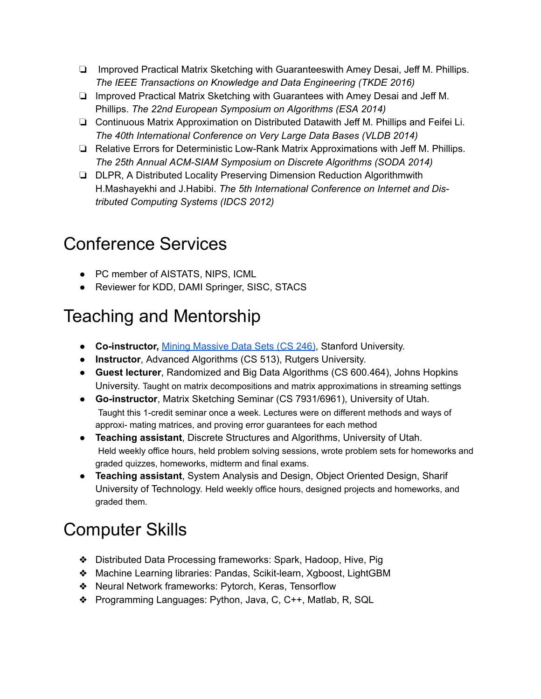- ❏ Improved Practical Matrix Sketching with Guaranteeswith Amey Desai, Jeff M. Phillips. *The IEEE Transactions on Knowledge and Data Engineering (TKDE 2016)*
- ❏ Improved Practical Matrix Sketching with Guarantees with Amey Desai and Jeff M. Phillips. *The 22nd European Symposium on Algorithms (ESA 2014)*
- ❏ Continuous Matrix Approximation on Distributed Datawith Jeff M. Phillips and Feifei Li. *The 40th International Conference on Very Large Data Bases (VLDB 2014)*
- ❏ Relative Errors for Deterministic Low-Rank Matrix Approximations with Jeff M. Phillips. *The 25th Annual ACM-SIAM Symposium on Discrete Algorithms (SODA 2014)*
- ❏ DLPR, A Distributed Locality Preserving Dimension Reduction Algorithmwith H.Mashayekhi and J.Habibi. *The 5th International Conference on Internet and Distributed Computing Systems (IDCS 2012)*

# Conference Services

- PC member of AISTATS, NIPS, ICML
- Reviewer for KDD, DAMI Springer, SISC, STACS

# Teaching and Mentorship

- **Co-instructor,** Mining [Massive](http://web.stanford.edu/class/cs246/) Data Sets (CS 246), Stanford University.
- **Instructor**, Advanced Algorithms (CS 513), Rutgers University.
- **Guest lecturer**, Randomized and Big Data Algorithms (CS 600.464), Johns Hopkins University. Taught on matrix decompositions and matrix approximations in streaming settings
- **Go-instructor**, Matrix Sketching Seminar (CS 7931/6961), University of Utah. Taught this 1-credit seminar once a week. Lectures were on different methods and ways of approxi- mating matrices, and proving error guarantees for each method
- **Teaching assistant**, Discrete Structures and Algorithms, University of Utah. Held weekly office hours, held problem solving sessions, wrote problem sets for homeworks and graded quizzes, homeworks, midterm and final exams.
- **Teaching assistant**, System Analysis and Design, Object Oriented Design, Sharif University of Technology. Held weekly office hours, designed projects and homeworks, and graded them.

# Computer Skills

- ❖ Distributed Data Processing frameworks: Spark, Hadoop, Hive, Pig
- ❖ Machine Learning libraries: Pandas, Scikit-learn, Xgboost, LightGBM
- ❖ Neural Network frameworks: Pytorch, Keras, Tensorflow
- ❖ Programming Languages: Python, Java, C, C++, Matlab, R, SQL